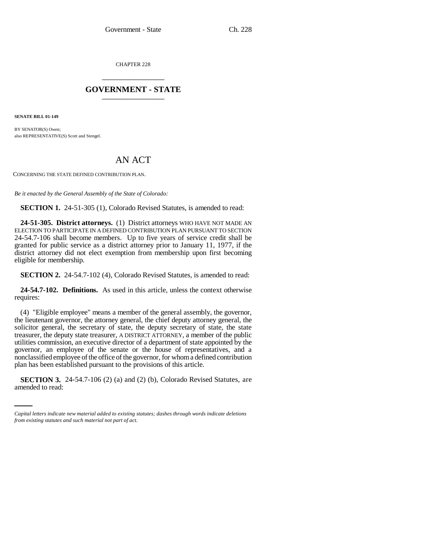CHAPTER 228 \_\_\_\_\_\_\_\_\_\_\_\_\_\_\_

## **GOVERNMENT - STATE** \_\_\_\_\_\_\_\_\_\_\_\_\_\_\_

**SENATE BILL 01-149**

BY SENATOR(S) Owen; also REPRESENTATIVE(S) Scott and Stengel.

## AN ACT

CONCERNING THE STATE DEFINED CONTRIBUTION PLAN.

*Be it enacted by the General Assembly of the State of Colorado:*

**SECTION 1.** 24-51-305 (1), Colorado Revised Statutes, is amended to read:

**24-51-305. District attorneys.** (1) District attorneys WHO HAVE NOT MADE AN ELECTION TO PARTICIPATE IN A DEFINED CONTRIBUTION PLAN PURSUANT TO SECTION 24-54.7-106 shall become members. Up to five years of service credit shall be granted for public service as a district attorney prior to January 11, 1977, if the district attorney did not elect exemption from membership upon first becoming eligible for membership.

**SECTION 2.** 24-54.7-102 (4), Colorado Revised Statutes, is amended to read:

**24-54.7-102. Definitions.** As used in this article, unless the context otherwise requires:

plan has been established pursuant to the provisions of this article. (4) "Eligible employee" means a member of the general assembly, the governor, the lieutenant governor, the attorney general, the chief deputy attorney general, the solicitor general, the secretary of state, the deputy secretary of state, the state treasurer, the deputy state treasurer, A DISTRICT ATTORNEY, a member of the public utilities commission, an executive director of a department of state appointed by the governor, an employee of the senate or the house of representatives, and a nonclassified employee of the office of the governor, for whom a defined contribution

**SECTION 3.** 24-54.7-106 (2) (a) and (2) (b), Colorado Revised Statutes, are amended to read:

*Capital letters indicate new material added to existing statutes; dashes through words indicate deletions from existing statutes and such material not part of act.*